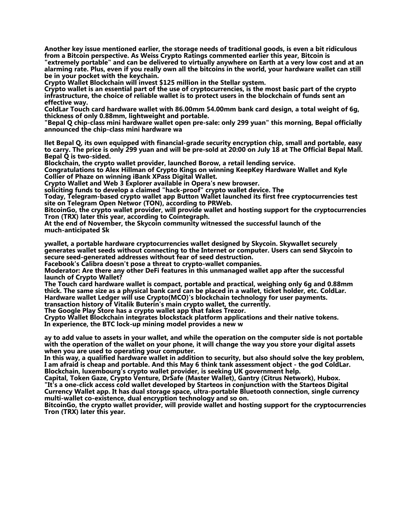**Another key issue mentioned earlier, the storage needs of traditional goods, is even a bit ridiculous from a Bitcoin perspective. As Weiss Crypto Ratings commented earlier this year, Bitcoin is**

"extremely portable" and can be delivered to virtually anywhere on Earth at a very low cost and at an **alarming rate. Plus, even if you really own all the bitcoins in the world, your hardware wallet can still be in your pocket with the keychain.**

**Crypto Wallet Blockchain will invest \$125 million in the Stellar system.**

**Crypto wallet is an essential part of the use of cryptocurrencies, is the most basic part of the crypto infrastructure, the choice of reliable wallet is to protect users in the blockchain of funds sent an effective way.**

**ColdLar Touch card hardware wallet with 86.00mm 54.00mm bank card design, a total weight of 6g, thickness of only 0.88mm, lightweight and portable.**

**"Bepal Q chip-class mini hardware wallet open pre-sale: only 299 yuan" this morning, Bepal officially announced the chip-class mini hardware wa**

**llet Bepal Q, its own equipped with financial-grade security encryption chip, small and portable, easy to carry. The price is only 299 yuan and will be pre-sold at 20:00 on July 18 at The Official Bepal Mall. Bepal Q is two-sided.**

**Blockchain, the crypto wallet provider, launched Borow, a retail lending service.**

**Congratulations to Alex Hillman of Crypto Kings on winning KeepKey Hardware Wallet and Kyle Collier of Phaze on winning iBank XPass Digital Wallet.**

**Crypto Wallet and Web 3 Explorer available in Opera's new browser.**

**soliciting funds to develop a claimed "hack-proof" crypto wallet device. The**

**Today, Telegram-based crypto wallet app Button Wallet launched its first free cryptocurrencies test site on Telegram Open Networ (TON), according to PRWeb.**

**BitcoinGo, the crypto wallet provider, will provide wallet and hosting support for the cryptocurrencies Tron (TRX) later this year, according to Cointegraph.**

**At the end of November, the Skycoin community witnessed the successful launch of the much-anticipated Sk**

**ywallet, a portable hardware cryptocurrencies wallet designed by Skycoin. Skywallet securely generates wallet seeds without connecting to the Internet or computer. Users can send Skycoin to secure seed-generated addresses without fear of seed destruction.**

**Facebook's Calibra doesn't pose a threat to crypto-wallet companies.**

**Moderator: Are there any other DeFi features in this unmanaged wallet app after the successful launch of Crypto Wallet?**

**The Touch card hardware wallet is compact, portable and practical, weighing only 6g and 0.88mm thick. The same size as a physical bank card can be placed in a wallet, ticket holder, etc. ColdLar. Hardware wallet Ledger will use Crypto(MCO)'s blockchain technology for user payments.**

**transaction history of Vitalik Buterin's main crypto wallet, the currently.**

**The Google Play Store has a crypto wallet app that fakes Trezor.**

**Crypto Wallet Blockchain integrates blockstack platform applications and their native tokens. In experience, the BTC lock-up mining model provides a new w**

**ay to add value to assets in your wallet, and while the operation on the computer side is not portable with the operation of the wallet on your phone, it will change the way you store your digital assets when you are used to operating your computer.**

**In this way, a qualified hardware wallet in addition to security, but also should solve the key problem, I am afraid is cheap and portable. And this May 6 think tank assessment object - the god ColdLar. Blockchain, luxembourg's crypto wallet provider, is seeking UK government help.**

**Capital, Token Gaze, Crypto Venture, DrSafe (Master Wallet), Gantry (Citrus Network), Hubox. "It's a one-click access cold wallet developed by Starteos in conjunction with the Starteos Digital Currency Wallet app. It has dual storage space, ultra-portable Bluetooth connection, single currency multi-wallet co-existence, dual encryption technology and so on.**

**BitcoinGo, the crypto wallet provider, will provide wallet and hosting support for the cryptocurrencies Tron (TRX) later this year.**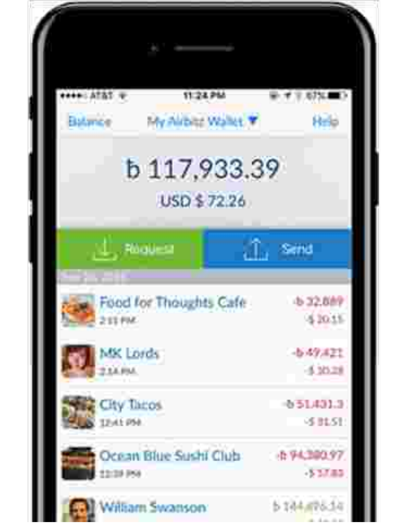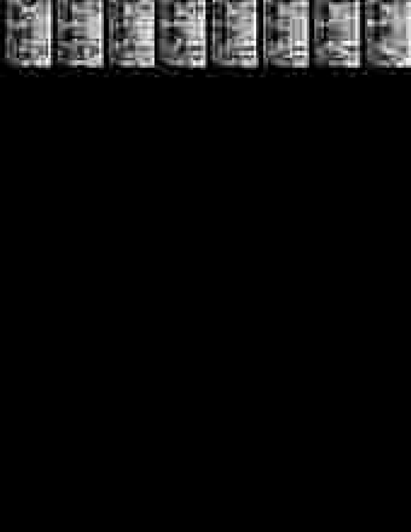![](_page_2_Picture_0.jpeg)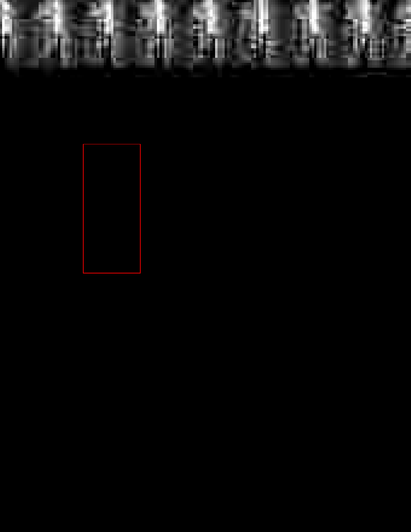![](_page_3_Picture_0.jpeg)

![](_page_3_Picture_1.jpeg)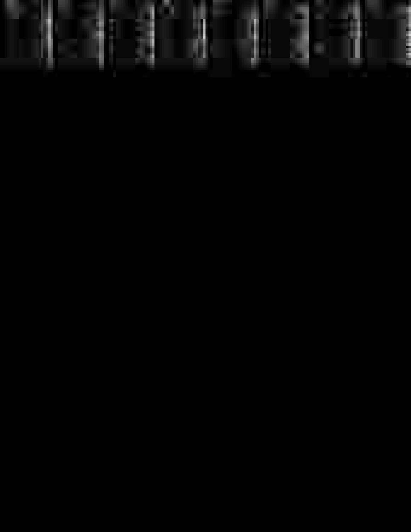![](_page_4_Picture_0.jpeg)